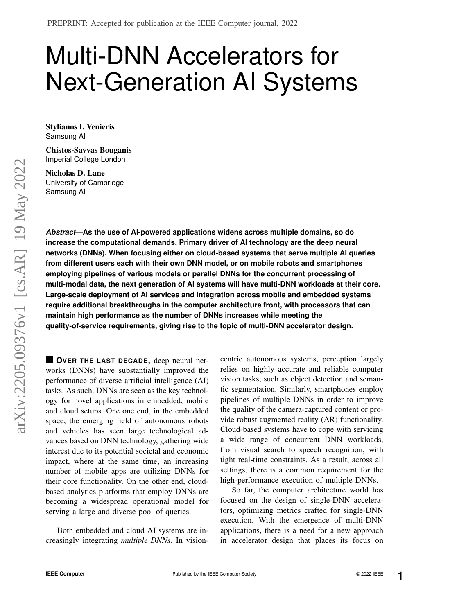# Multi-DNN Accelerators for Next-Generation AI Systems

Stylianos I. Venieris Samsung AI

Chistos-Savvas Bouganis Imperial College London

Nicholas D. Lane University of Cambridge Samsung AI

*Abstract***—As the use of AI-powered applications widens across multiple domains, so do increase the computational demands. Primary driver of AI technology are the deep neural networks (DNNs). When focusing either on cloud-based systems that serve multiple AI queries from different users each with their own DNN model, or on mobile robots and smartphones employing pipelines of various models or parallel DNNs for the concurrent processing of multi-modal data, the next generation of AI systems will have multi-DNN workloads at their core. Large-scale deployment of AI services and integration across mobile and embedded systems require additional breakthroughs in the computer architecture front, with processors that can maintain high performance as the number of DNNs increases while meeting the quality-of-service requirements, giving rise to the topic of multi-DNN accelerator design.**

**OVER THE LAST DECADE,** deep neural networks (DNNs) have substantially improved the performance of diverse artificial intelligence (AI) tasks. As such, DNNs are seen as the key technology for novel applications in embedded, mobile and cloud setups. One one end, in the embedded space, the emerging field of autonomous robots and vehicles has seen large technological advances based on DNN technology, gathering wide interest due to its potential societal and economic impact, where at the same time, an increasing number of mobile apps are utilizing DNNs for their core functionality. On the other end, cloudbased analytics platforms that employ DNNs are becoming a widespread operational model for serving a large and diverse pool of queries.

Both embedded and cloud AI systems are increasingly integrating *multiple DNNs*. In visioncentric autonomous systems, perception largely relies on highly accurate and reliable computer vision tasks, such as object detection and semantic segmentation. Similarly, smartphones employ pipelines of multiple DNNs in order to improve the quality of the camera-captured content or provide robust augmented reality (AR) functionality. Cloud-based systems have to cope with servicing a wide range of concurrent DNN workloads, from visual search to speech recognition, with tight real-time constraints. As a result, across all settings, there is a common requirement for the high-performance execution of multiple DNNs.

So far, the computer architecture world has focused on the design of single-DNN accelerators, optimizing metrics crafted for single-DNN execution. With the emergence of multi-DNN applications, there is a need for a new approach in accelerator design that places its focus on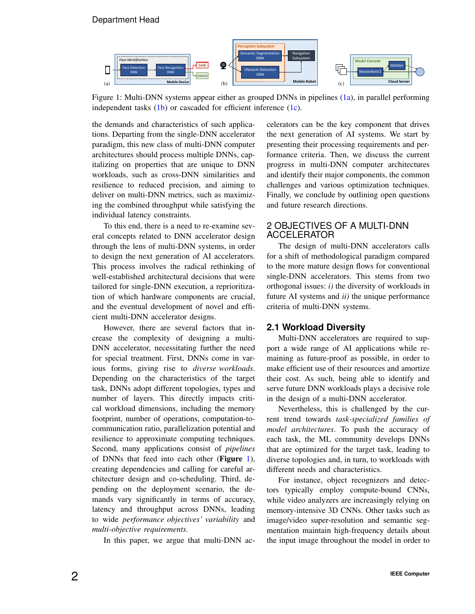### Department Head

<span id="page-1-0"></span>

Figure 1: Multi-DNN systems appear either as grouped DNNs in pipelines [\(1a\)](#page-1-0), in parallel performing independent tasks  $(1b)$  or cascaded for efficient inference  $(1c)$ .

the demands and characteristics of such applications. Departing from the single-DNN accelerator paradigm, this new class of multi-DNN computer architectures should process multiple DNNs, capitalizing on properties that are unique to DNN workloads, such as cross-DNN similarities and resilience to reduced precision, and aiming to deliver on multi-DNN metrics, such as maximizing the combined throughput while satisfying the individual latency constraints.

To this end, there is a need to re-examine several concepts related to DNN accelerator design through the lens of multi-DNN systems, in order to design the next generation of AI accelerators. This process involves the radical rethinking of well-established architectural decisions that were tailored for single-DNN execution, a reprioritization of which hardware components are crucial, and the eventual development of novel and efficient multi-DNN accelerator designs.

However, there are several factors that increase the complexity of designing a multi-DNN accelerator, necessitating further the need for special treatment. First, DNNs come in various forms, giving rise to *diverse workloads*. Depending on the characteristics of the target task, DNNs adopt different topologies, types and number of layers. This directly impacts critical workload dimensions, including the memory footprint, number of operations, computation-tocommunication ratio, parallelization potential and resilience to approximate computing techniques. Second, many applications consist of *pipelines* of DNNs that feed into each other (Figure [1\)](#page-1-0), creating dependencies and calling for careful architecture design and co-scheduling. Third, depending on the deployment scenario, the demands vary significantly in terms of accuracy, latency and throughput across DNNs, leading to wide *performance objectives' variability* and *multi-objective requirements*.

In this paper, we argue that multi-DNN ac-

celerators can be the key component that drives the next generation of AI systems. We start by presenting their processing requirements and performance criteria. Then, we discuss the current progress in multi-DNN computer architectures and identify their major components, the common challenges and various optimization techniques. Finally, we conclude by outlining open questions and future research directions.

# 2 OBJECTIVES OF A MULTI-DNN ACCELERATOR

The design of multi-DNN accelerators calls for a shift of methodological paradigm compared to the more mature design flows for conventional single-DNN accelerators. This stems from two orthogonal issues: *i)* the diversity of workloads in future AI systems and *ii)* the unique performance criteria of multi-DNN systems.

#### **2.1 Workload Diversity**

Multi-DNN accelerators are required to support a wide range of AI applications while remaining as future-proof as possible, in order to make efficient use of their resources and amortize their cost. As such, being able to identify and serve future DNN workloads plays a decisive role in the design of a multi-DNN accelerator.

Nevertheless, this is challenged by the current trend towards *task-specialized families of model architectures*. To push the accuracy of each task, the ML community develops DNNs that are optimized for the target task, leading to diverse topologies and, in turn, to workloads with different needs and characteristics.

For instance, object recognizers and detectors typically employ compute-bound CNNs, while video analyzers are increasingly relying on memory-intensive 3D CNNs. Other tasks such as image/video super-resolution and semantic segmentation maintain high-frequency details about the input image throughout the model in order to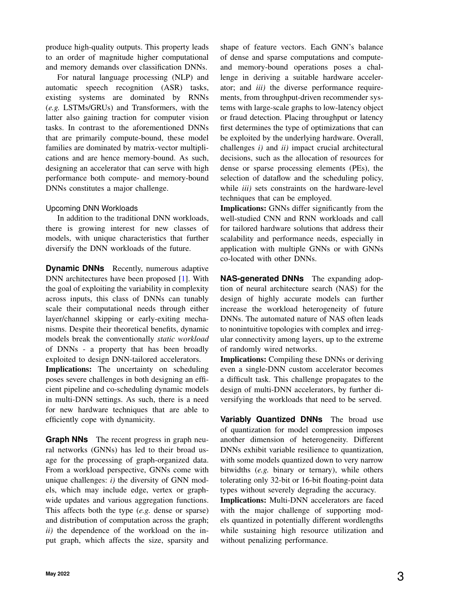produce high-quality outputs. This property leads to an order of magnitude higher computational and memory demands over classification DNNs.

For natural language processing (NLP) and automatic speech recognition (ASR) tasks, existing systems are dominated by RNNs (*e.g.* LSTMs/GRUs) and Transformers, with the latter also gaining traction for computer vision tasks. In contrast to the aforementioned DNNs that are primarily compute-bound, these model families are dominated by matrix-vector multiplications and are hence memory-bound. As such, designing an accelerator that can serve with high performance both compute- and memory-bound DNNs constitutes a major challenge.

#### Upcoming DNN Workloads

In addition to the traditional DNN workloads, there is growing interest for new classes of models, with unique characteristics that further diversify the DNN workloads of the future.

**Dynamic DNNs** Recently, numerous adaptive DNN architectures have been proposed [\[1\]](#page-8-0). With the goal of exploiting the variability in complexity across inputs, this class of DNNs can tunably scale their computational needs through either layer/channel skipping or early-exiting mechanisms. Despite their theoretical benefits, dynamic models break the conventionally *static workload* of DNNs - a property that has been broadly exploited to design DNN-tailored accelerators.

Implications: The uncertainty on scheduling poses severe challenges in both designing an efficient pipeline and co-scheduling dynamic models in multi-DNN settings. As such, there is a need for new hardware techniques that are able to efficiently cope with dynamicity.

**Graph NNs** The recent progress in graph neural networks (GNNs) has led to their broad usage for the processing of graph-organized data. From a workload perspective, GNNs come with unique challenges: *i)* the diversity of GNN models, which may include edge, vertex or graphwide updates and various aggregation functions. This affects both the type (*e.g.* dense or sparse) and distribution of computation across the graph; *ii)* the dependence of the workload on the input graph, which affects the size, sparsity and shape of feature vectors. Each GNN's balance of dense and sparse computations and computeand memory-bound operations poses a challenge in deriving a suitable hardware accelerator; and *iii)* the diverse performance requirements, from throughput-driven recommender systems with large-scale graphs to low-latency object or fraud detection. Placing throughput or latency first determines the type of optimizations that can be exploited by the underlying hardware. Overall, challenges *i)* and *ii)* impact crucial architectural decisions, such as the allocation of resources for dense or sparse processing elements (PEs), the selection of dataflow and the scheduling policy, while *iii)* sets constraints on the hardware-level techniques that can be employed.

Implications: GNNs differ significantly from the well-studied CNN and RNN workloads and call for tailored hardware solutions that address their scalability and performance needs, especially in application with multiple GNNs or with GNNs co-located with other DNNs.

**NAS-generated DNNs** The expanding adoption of neural architecture search (NAS) for the design of highly accurate models can further increase the workload heterogeneity of future DNNs. The automated nature of NAS often leads to nonintuitive topologies with complex and irregular connectivity among layers, up to the extreme of randomly wired networks.

Implications: Compiling these DNNs or deriving even a single-DNN custom accelerator becomes a difficult task. This challenge propagates to the design of multi-DNN accelerators, by further diversifying the workloads that need to be served.

**Variably Quantized DNNs** The broad use of quantization for model compression imposes another dimension of heterogeneity. Different DNNs exhibit variable resilience to quantization, with some models quantized down to very narrow bitwidths (*e.g.* binary or ternary), while others tolerating only 32-bit or 16-bit floating-point data types without severely degrading the accuracy.

Implications: Multi-DNN accelerators are faced with the major challenge of supporting models quantized in potentially different wordlengths while sustaining high resource utilization and without penalizing performance.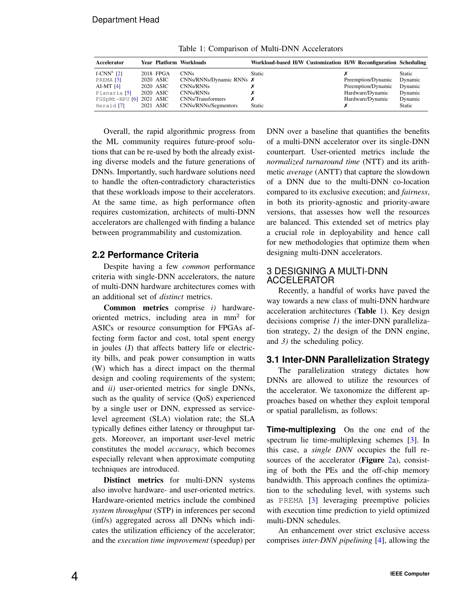<span id="page-3-0"></span>

| Accelerator                |           | Year Platform Workloads    | Workload-based H/W Customization H/W Reconfiguration Scheduling |                    |               |
|----------------------------|-----------|----------------------------|-----------------------------------------------------------------|--------------------|---------------|
| f-CNN <sup>x</sup> $[2]$   | 2018 FPGA | <b>CNNs</b>                | <b>Static</b>                                                   |                    | <b>Static</b> |
| PREMA <sup>[3]</sup>       | 2020 ASIC | CNNs/RNNs/Dynamic RNNs $X$ |                                                                 | Preemption/Dynamic | Dynamic       |
| AI-MT $[4]$                | 2020 ASIC | CNNs/RNNs                  |                                                                 | Preemption/Dynamic | Dynamic       |
| Planaria <sup>[5]</sup>    | 2020 ASIC | CNNs/RNNs                  |                                                                 | Hardware/Dynamic   | Dynamic       |
| $FGSpMt-NPU [6] 2021 ASIC$ |           | CNNs/Transformers          |                                                                 | Hardware/Dynamic   | Dynamic       |
| Herald <sup>[7]</sup>      | 2021 ASIC | CNNs/RNNs/Segmentors       | Static                                                          |                    | Static        |

Table 1: Comparison of Multi-DNN Accelerators

Overall, the rapid algorithmic progress from the ML community requires future-proof solutions that can be re-used by both the already existing diverse models and the future generations of DNNs. Importantly, such hardware solutions need to handle the often-contradictory characteristics that these workloads impose to their accelerators. At the same time, as high performance often requires customization, architects of multi-DNN accelerators are challenged with finding a balance between programmability and customization.

# **2.2 Performance Criteria**

Despite having a few *common* performance criteria with single-DNN accelerators, the nature of multi-DNN hardware architectures comes with an additional set of *distinct* metrics.

Common metrics comprise *i)* hardwareoriented metrics, including area in mm<sup>2</sup> for ASICs or resource consumption for FPGAs affecting form factor and cost, total spent energy in joules (J) that affects battery life or electricity bills, and peak power consumption in watts (W) which has a direct impact on the thermal design and cooling requirements of the system; and *ii)* user-oriented metrics for single DNNs, such as the quality of service (QoS) experienced by a single user or DNN, expressed as servicelevel agreement (SLA) violation rate; the SLA typically defines either latency or throughput targets. Moreover, an important user-level metric constitutes the model *accuracy*, which becomes especially relevant when approximate computing techniques are introduced.

Distinct metrics for multi-DNN systems also involve hardware- and user-oriented metrics. Hardware-oriented metrics include the combined *system throughput* (STP) in inferences per second (inf/s) aggregated across all DNNs which indicates the utilization efficiency of the accelerator; and the *execution time improvement* (speedup) per DNN over a baseline that quantifies the benefits of a multi-DNN accelerator over its single-DNN counterpart. User-oriented metrics include the *normalized turnaround time* (NTT) and its arithmetic *average* (ANTT) that capture the slowdown of a DNN due to the multi-DNN co-location compared to its exclusive execution; and *fairness*, in both its priority-agnostic and priority-aware versions, that assesses how well the resources are balanced. This extended set of metrics play a crucial role in deployability and hence call for new methodologies that optimize them when designing multi-DNN accelerators.

### 3 DESIGNING A MULTI-DNN ACCELERATOR

Recently, a handful of works have paved the way towards a new class of multi-DNN hardware acceleration architectures (Table [1\)](#page-3-0). Key design decisions comprise *1)* the inter-DNN parallelization strategy, *2)* the design of the DNN engine, and *3)* the scheduling policy.

#### **3.1 Inter-DNN Parallelization Strategy**

The parallelization strategy dictates how DNNs are allowed to utilize the resources of the accelerator. We taxonomize the different approaches based on whether they exploit temporal or spatial parallelism, as follows:

**Time-multiplexing** On the one end of the spectrum lie time-multiplexing schemes [\[3\]](#page-8-2). In this case, a *single DNN* occupies the full resources of the accelerator (**Figure [2a](#page-4-0)**), consisting of both the PEs and the off-chip memory bandwidth. This approach confines the optimization to the scheduling level, with systems such as PREMA [\[3\]](#page-8-2) leveraging preemptive policies with execution time prediction to yield optimized multi-DNN schedules.

An enhancement over strict exclusive access comprises *inter-DNN pipelining* [\[4\]](#page-8-3), allowing the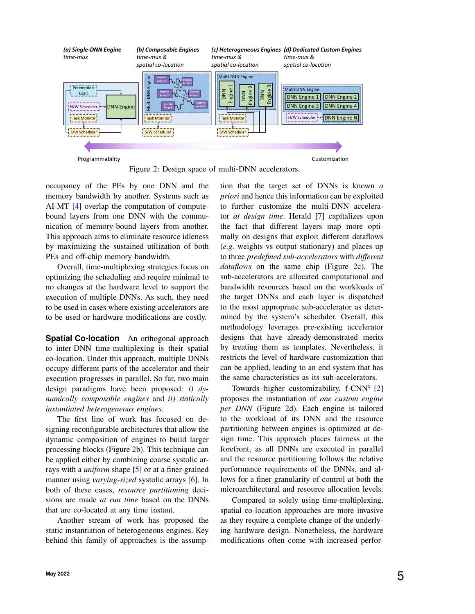<span id="page-4-0"></span>

Figure 2: Design space of multi-DNN accelerators.

occupancy of the PEs by one DNN and the memory bandwidth by another. Systems such as AI-MT [\[4\]](#page-8-3) overlap the computation of computebound layers from one DNN with the communication of memory-bound layers from another. This approach aims to eliminate resource idleness by maximizing the sustained utilization of both PEs and off-chip memory bandwidth.

Overall, time-multiplexing strategies focus on optimizing the scheduling and require minimal to no changes at the hardware level to support the execution of multiple DNNs. As such, they need to be used in cases where existing accelerators are to be used or hardware modifications are costly.

**Spatial Co-location** An orthogonal approach to inter-DNN time-multiplexing is their spatial co-location. Under this approach, multiple DNNs occupy different parts of the accelerator and their execution progresses in parallel. So far, two main design paradigms have been proposed: *i) dynamically composable engines* and *ii) statically instantiated heterogeneous engines*.

The first line of work has focused on designing reconfigurable architectures that allow the dynamic composition of engines to build larger processing blocks (Figure [2b](#page-4-0)). This technique can be applied either by combining coarse systolic arrays with a *uniform* shape [\[5\]](#page-8-4) or at a finer-grained manner using *varying-sized* systolic arrays [\[6\]](#page-8-5). In both of these cases, *resource partitioning* decisions are made *at run time* based on the DNNs that are co-located at any time instant.

Another stream of work has proposed the static instantiation of heterogeneous engines. Key behind this family of approaches is the assumption that the target set of DNNs is known *a priori* and hence this information can be exploited to further customize the multi-DNN accelerator *at design time*. Herald [\[7\]](#page-8-6) capitalizes upon the fact that different layers map more optimally on designs that exploit different dataflows (*e.g.* weights vs output stationary) and places up to three *predefined sub-accelerators* with *different dataflows* on the same chip (Figure [2c](#page-4-0)). The sub-accelerators are allocated computational and bandwidth resources based on the workloads of the target DNNs and each layer is dispatched to the most appropriate sub-accelerator as determined by the system's scheduler. Overall, this methodology leverages pre-existing accelerator designs that have already-demonstrated merits by treating them as templates. Nevertheless, it restricts the level of hardware customization that can be applied, leading to an end system that has the same characteristics as its sub-accelerators.

Towards higher customizability,  $f-CNN^x$  [\[2\]](#page-8-1) proposes the instantiation of *one custom engine per DNN* (Figure [2d](#page-4-0)). Each engine is tailored to the workload of its DNN and the resource partitioning between engines is optimized at design time. This approach places fairness at the forefront, as all DNNs are executed in parallel and the resource partitioning follows the relative performance requirements of the DNNs, and allows for a finer granularity of control at both the microarchitectural and resource allocation levels.

Compared to solely using time-multiplexing, spatial co-location approaches are more invasive as they require a complete change of the underlying hardware design. Nonetheless, the hardware modifications often come with increased perfor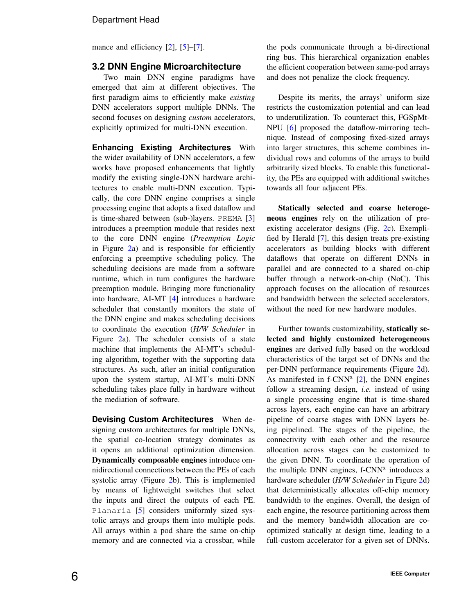mance and efficiency [\[2\]](#page-8-1), [\[5\]](#page-8-4)–[\[7\]](#page-8-6).

#### **3.2 DNN Engine Microarchitecture**

Two main DNN engine paradigms have emerged that aim at different objectives. The first paradigm aims to efficiently make *existing* DNN accelerators support multiple DNNs. The second focuses on designing *custom* accelerators, explicitly optimized for multi-DNN execution.

**Enhancing Existing Architectures** With the wider availability of DNN accelerators, a few works have proposed enhancements that lightly modify the existing single-DNN hardware architectures to enable multi-DNN execution. Typically, the core DNN engine comprises a single processing engine that adopts a fixed dataflow and is time-shared between (sub-)layers. PREMA [\[3\]](#page-8-2) introduces a preemption module that resides next to the core DNN engine (*Preemption Logic* in Figure [2a](#page-4-0)) and is responsible for efficiently enforcing a preemptive scheduling policy. The scheduling decisions are made from a software runtime, which in turn configures the hardware preemption module. Bringing more functionality into hardware, AI-MT [\[4\]](#page-8-3) introduces a hardware scheduler that constantly monitors the state of the DNN engine and makes scheduling decisions to coordinate the execution (*H/W Scheduler* in Figure [2a](#page-4-0)). The scheduler consists of a state machine that implements the AI-MT's scheduling algorithm, together with the supporting data structures. As such, after an initial configuration upon the system startup, AI-MT's multi-DNN scheduling takes place fully in hardware without the mediation of software.

**Devising Custom Architectures** When designing custom architectures for multiple DNNs, the spatial co-location strategy dominates as it opens an additional optimization dimension. Dynamically composable engines introduce omnidirectional connections between the PEs of each systolic array (Figure [2b](#page-4-0)). This is implemented by means of lightweight switches that select the inputs and direct the outputs of each PE. Planaria [\[5\]](#page-8-4) considers uniformly sized systolic arrays and groups them into multiple pods. All arrays within a pod share the same on-chip memory and are connected via a crossbar, while the pods communicate through a bi-directional ring bus. This hierarchical organization enables the efficient cooperation between same-pod arrays and does not penalize the clock frequency.

Despite its merits, the arrays' uniform size restricts the customization potential and can lead to underutilization. To counteract this, FGSpMt-NPU [\[6\]](#page-8-5) proposed the dataflow-mirroring technique. Instead of composing fixed-sized arrays into larger structures, this scheme combines individual rows and columns of the arrays to build arbitrarily sized blocks. To enable this functionality, the PEs are equipped with additional switches towards all four adjacent PEs.

Statically selected and coarse heterogeneous engines rely on the utilization of preexisting accelerator designs (Fig. [2c](#page-4-0)). Exemplified by Herald [\[7\]](#page-8-6), this design treats pre-existing accelerators as building blocks with different dataflows that operate on different DNNs in parallel and are connected to a shared on-chip buffer through a network-on-chip (NoC). This approach focuses on the allocation of resources and bandwidth between the selected accelerators, without the need for new hardware modules.

Further towards customizability, statically selected and highly customized heterogeneous engines are derived fully based on the workload characteristics of the target set of DNNs and the per-DNN performance requirements (Figure [2d](#page-4-0)). As manifested in  $f$ -CNN<sup>x</sup> [\[2\]](#page-8-1), the DNN engines follow a streaming design, *i.e.* instead of using a single processing engine that is time-shared across layers, each engine can have an arbitrary pipeline of coarse stages with DNN layers being pipelined. The stages of the pipeline, the connectivity with each other and the resource allocation across stages can be customized to the given DNN. To coordinate the operation of the multiple DNN engines,  $f$ -CNN<sup>x</sup> introduces a hardware scheduler (*H/W Scheduler* in Figure [2d](#page-4-0)) that deterministically allocates off-chip memory bandwidth to the engines. Overall, the design of each engine, the resource partitioning across them and the memory bandwidth allocation are cooptimized statically at design time, leading to a full-custom accelerator for a given set of DNNs.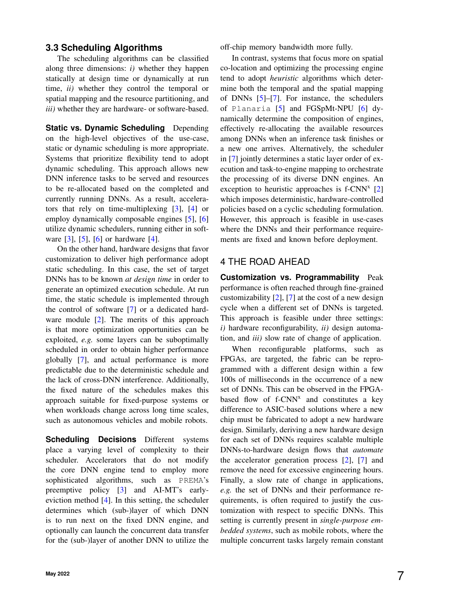#### **3.3 Scheduling Algorithms**

The scheduling algorithms can be classified along three dimensions: *i)* whether they happen statically at design time or dynamically at run time, *ii)* whether they control the temporal or spatial mapping and the resource partitioning, and *iii)* whether they are hardware- or software-based.

**Static vs. Dynamic Scheduling** Depending on the high-level objectives of the use-case, static or dynamic scheduling is more appropriate. Systems that prioritize flexibility tend to adopt dynamic scheduling. This approach allows new DNN inference tasks to be served and resources to be re-allocated based on the completed and currently running DNNs. As a result, accelerators that rely on time-multiplexing [\[3\]](#page-8-2), [\[4\]](#page-8-3) or employ dynamically composable engines [\[5\]](#page-8-4), [\[6\]](#page-8-5) utilize dynamic schedulers, running either in software  $[3]$ ,  $[5]$ ,  $[6]$  or hardware  $[4]$ .

On the other hand, hardware designs that favor customization to deliver high performance adopt static scheduling. In this case, the set of target DNNs has to be known *at design time* in order to generate an optimized execution schedule. At run time, the static schedule is implemented through the control of software [\[7\]](#page-8-6) or a dedicated hard-ware module [\[2\]](#page-8-1). The merits of this approach is that more optimization opportunities can be exploited, *e.g.* some layers can be suboptimally scheduled in order to obtain higher performance globally [\[7\]](#page-8-6), and actual performance is more predictable due to the deterministic schedule and the lack of cross-DNN interference. Additionally, the fixed nature of the schedules makes this approach suitable for fixed-purpose systems or when workloads change across long time scales, such as autonomous vehicles and mobile robots.

**Scheduling Decisions** Different systems place a varying level of complexity to their scheduler. Accelerators that do not modify the core DNN engine tend to employ more sophisticated algorithms, such as PREMA's preemptive policy [\[3\]](#page-8-2) and AI-MT's earlyeviction method [\[4\]](#page-8-3). In this setting, the scheduler determines which (sub-)layer of which DNN is to run next on the fixed DNN engine, and optionally can launch the concurrent data transfer for the (sub-)layer of another DNN to utilize the off-chip memory bandwidth more fully.

In contrast, systems that focus more on spatial co-location and optimizing the processing engine tend to adopt *heuristic* algorithms which determine both the temporal and the spatial mapping of DNNs [\[5\]](#page-8-4)–[\[7\]](#page-8-6). For instance, the schedulers of Planaria [\[5\]](#page-8-4) and FGSpMt-NPU [\[6\]](#page-8-5) dynamically determine the composition of engines, effectively re-allocating the available resources among DNNs when an inference task finishes or a new one arrives. Alternatively, the scheduler in [\[7\]](#page-8-6) jointly determines a static layer order of execution and task-to-engine mapping to orchestrate the processing of its diverse DNN engines. An exception to heuristic approaches is  $f-CNN^x$  [\[2\]](#page-8-1) which imposes deterministic, hardware-controlled policies based on a cyclic scheduling formulation. However, this approach is feasible in use-cases where the DNNs and their performance requirements are fixed and known before deployment.

#### 4 THE ROAD AHEAD

**Customization vs. Programmability** Peak performance is often reached through fine-grained customizability  $[2]$ ,  $[7]$  at the cost of a new design cycle when a different set of DNNs is targeted. This approach is feasible under three settings: *i)* hardware reconfigurability, *ii)* design automation, and *iii)* slow rate of change of application.

When reconfigurable platforms, such as FPGAs, are targeted, the fabric can be reprogrammed with a different design within a few 100s of milliseconds in the occurrence of a new set of DNNs. This can be observed in the FPGAbased flow of  $f$ -CNN<sup>x</sup> and constitutes a key difference to ASIC-based solutions where a new chip must be fabricated to adopt a new hardware design. Similarly, deriving a new hardware design for each set of DNNs requires scalable multiple DNNs-to-hardware design flows that *automate* the accelerator generation process [\[2\]](#page-8-1), [\[7\]](#page-8-6) and remove the need for excessive engineering hours. Finally, a slow rate of change in applications, *e.g.* the set of DNNs and their performance requirements, is often required to justify the customization with respect to specific DNNs. This setting is currently present in *single-purpose embedded systems*, such as mobile robots, where the multiple concurrent tasks largely remain constant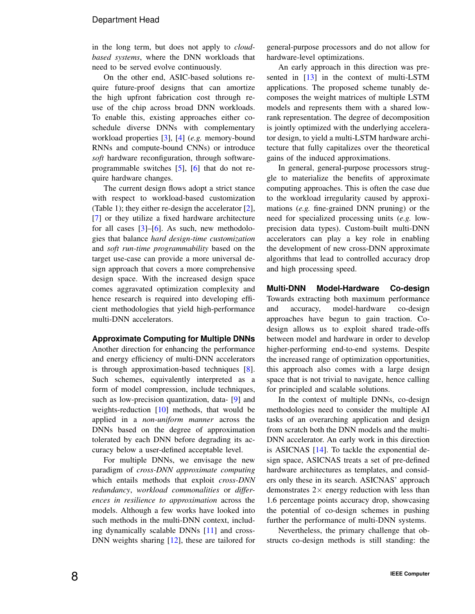in the long term, but does not apply to *cloudbased systems*, where the DNN workloads that need to be served evolve continuously.

On the other end, ASIC-based solutions require future-proof designs that can amortize the high upfront fabrication cost through reuse of the chip across broad DNN workloads. To enable this, existing approaches either coschedule diverse DNNs with complementary workload properties [\[3\]](#page-8-2), [\[4\]](#page-8-3) (*e.g.* memory-bound RNNs and compute-bound CNNs) or introduce *soft* hardware reconfiguration, through softwareprogrammable switches  $[5]$ ,  $[6]$  that do not require hardware changes.

The current design flows adopt a strict stance with respect to workload-based customization (Table 1); they either re-design the accelerator [\[2\]](#page-8-1), [\[7\]](#page-8-6) or they utilize a fixed hardware architecture for all cases  $[3]$ – $[6]$ . As such, new methodologies that balance *hard design-time customization* and *soft run-time programmability* based on the target use-case can provide a more universal design approach that covers a more comprehensive design space. With the increased design space comes aggravated optimization complexity and hence research is required into developing efficient methodologies that yield high-performance multi-DNN accelerators.

#### **Approximate Computing for Multiple DNNs**

Another direction for enhancing the performance and energy efficiency of multi-DNN accelerators is through approximation-based techniques [\[8\]](#page-8-7). Such schemes, equivalently interpreted as a form of model compression, include techniques, such as low-precision quantization, data- [\[9\]](#page-8-8) and weights-reduction  $[10]$  methods, that would be applied in a *non-uniform manner* across the DNNs based on the degree of approximation tolerated by each DNN before degrading its accuracy below a user-defined acceptable level.

For multiple DNNs, we envisage the new paradigm of *cross-DNN approximate computing* which entails methods that exploit *cross-DNN redundancy*, *workload commonalities* or *differences in resilience to approximation* across the models. Although a few works have looked into such methods in the multi-DNN context, including dynamically scalable DNNs [\[11\]](#page-8-10) and cross-DNN weights sharing [\[12\]](#page-8-11), these are tailored for general-purpose processors and do not allow for hardware-level optimizations.

An early approach in this direction was presented in [\[13\]](#page-8-12) in the context of multi-LSTM applications. The proposed scheme tunably decomposes the weight matrices of multiple LSTM models and represents them with a shared lowrank representation. The degree of decomposition is jointly optimized with the underlying accelerator design, to yield a multi-LSTM hardware architecture that fully capitalizes over the theoretical gains of the induced approximations.

In general, general-purpose processors struggle to materialize the benefits of approximate computing approaches. This is often the case due to the workload irregularity caused by approximations (*e.g.* fine-grained DNN pruning) or the need for specialized processing units (*e.g.* lowprecision data types). Custom-built multi-DNN accelerators can play a key role in enabling the development of new cross-DNN approximate algorithms that lead to controlled accuracy drop and high processing speed.

**Multi-DNN Model-Hardware Co-design** Towards extracting both maximum performance and accuracy, model-hardware co-design approaches have begun to gain traction. Codesign allows us to exploit shared trade-offs between model and hardware in order to develop higher-performing end-to-end systems. Despite the increased range of optimization opportunities, this approach also comes with a large design space that is not trivial to navigate, hence calling for principled and scalable solutions.

In the context of multiple DNNs, co-design methodologies need to consider the multiple AI tasks of an overarching application and design from scratch both the DNN models and the multi-DNN accelerator. An early work in this direction is ASICNAS [\[14\]](#page-8-13). To tackle the exponential design space, ASICNAS treats a set of pre-defined hardware architectures as templates, and considers only these in its search. ASICNAS' approach demonstrates  $2 \times$  energy reduction with less than 1.6 percentage points accuracy drop, showcasing the potential of co-design schemes in pushing further the performance of multi-DNN systems.

Nevertheless, the primary challenge that obstructs co-design methods is still standing: the